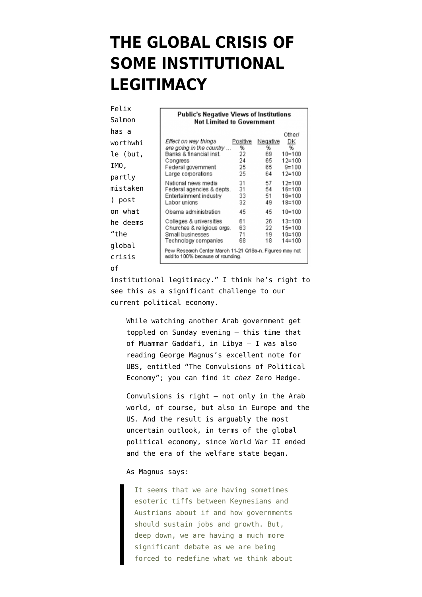## **[THE GLOBAL CRISIS OF](https://www.emptywheel.net/2011/08/22/the-global-crisis-of-some-institutional-legitimacy/) [SOME INSTITUTIONAL](https://www.emptywheel.net/2011/08/22/the-global-crisis-of-some-institutional-legitimacy/) [LEGITIMACY](https://www.emptywheel.net/2011/08/22/the-global-crisis-of-some-institutional-legitimacy/)**

| Felix                             |                                                                                                   |                      |                      |                                                      |  |
|-----------------------------------|---------------------------------------------------------------------------------------------------|----------------------|----------------------|------------------------------------------------------|--|
| Salmon                            | Public's Negative Views of Institutions<br><b>Not Limited to Government</b>                       |                      |                      |                                                      |  |
| has a                             |                                                                                                   |                      |                      | Othen                                                |  |
| worthwhi                          | Effect on way things                                                                              | Positive             | Negative             | DK                                                   |  |
| le (but,                          | are going in the country<br>Banks & financial inst.                                               | %<br>22              | %<br>69              | %<br>$10=100$                                        |  |
| IMO.                              | Congress<br>Federal government                                                                    | 24<br>25             | 65<br>65             | $12 = 100$<br>$9=100$                                |  |
| partly                            | Large corporations                                                                                | 25                   | 64                   | $12 = 100$                                           |  |
| mistaken<br>post<br>$\mathcal{L}$ | National news media<br>Federal agencies & depts.<br>Entertainment industry<br>Labor unions        | 31<br>31<br>33<br>32 | 57<br>54<br>51<br>49 | $12 = 100$<br>$16 = 100$<br>$16 = 100$<br>$18 = 100$ |  |
| on what                           | Obama administration                                                                              | 45                   | 45                   | $10=100$                                             |  |
| he deems<br>"the<br>global        | Colleges & universities<br>Churches & religious orgs.<br>Small businesses<br>Technology companies | 61<br>63<br>71<br>68 | 26<br>22<br>19<br>18 | $13 = 100$<br>$15 = 100$<br>$10=100$<br>$14 = 100$   |  |
| crisis                            | Pew Research Center March 11-21 Q18a-n. Figures may not<br>add to 100% because of rounding.       |                      |                      |                                                      |  |
| οf                                |                                                                                                   |                      |                      |                                                      |  |

institutional legitimacy." I think he's right to see this as a significant challenge to our current political economy.

While watching another Arab government get toppled on Sunday evening — this time that of Muammar Gaddafi, in Libya — I was also reading George Magnus's excellent note for UBS, entitled "The Convulsions of Political Economy"; you can find it *chez* [Zero Hedge](http://www.zerohedge.com/news/ubs-george-magnus-marxist-existential-crises-and-convulsions-political-economy).

Convulsions is right — not only in the Arab world, of course, but also in Europe and the US. And the result is arguably the most uncertain outlook, in terms of the global political economy, since World War II ended and the era of the welfare state began.

## As Magnus says:

It seems that we are having sometimes esoteric tiffs between Keynesians and Austrians about if and how governments should sustain jobs and growth. But, deep down, we are having a much more significant debate as we are being forced to redefine what we think about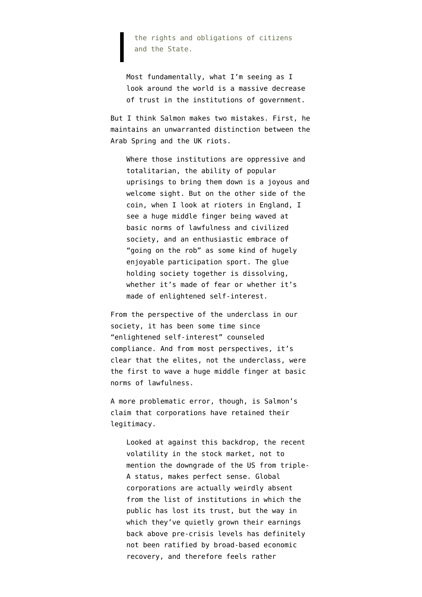the rights and obligations of citizens and the State.

Most fundamentally, what I'm seeing as I look around the world is a massive decrease of trust in the institutions of government.

But I think Salmon makes two mistakes. First, he maintains an unwarranted distinction between the Arab Spring and the UK riots.

Where those institutions are oppressive and totalitarian, the ability of popular uprisings to bring them down is a joyous and welcome sight. But on the other side of the coin, when I look at rioters in England, I see a huge middle finger being waved at basic norms of lawfulness and civilized society, and an enthusiastic embrace of "going on the rob" as some kind of hugely enjoyable participation sport. The glue holding society together is dissolving, whether it's made of fear or whether it's made of enlightened self-interest.

From the perspective of the underclass in our society, it has been some time since "enlightened self-interest" counseled compliance. And from most perspectives, it's clear that the elites, not the underclass, were the first to wave a huge middle finger at basic norms of lawfulness.

A more problematic error, though, is Salmon's claim that corporations have retained their legitimacy.

Looked at against this backdrop, the recent volatility in the stock market, not to mention the downgrade of the US from triple-A status, makes perfect sense. Global corporations are actually weirdly absent from the list of institutions in which the public has lost its trust, but the way in which they've quietly grown their earnings back [above pre-crisis levels](http://blog.yardeni.com/2011/08/s-500-earnings-valuation.html) has definitely not been ratified by broad-based economic recovery, and therefore feels rather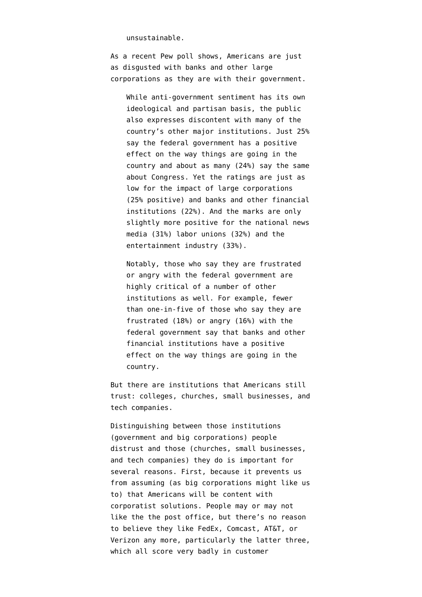## unsustainable.

As a [recent Pew poll shows,](http://people-press.org/2010/04/18/distrust-discontent-anger-and-partisan-rancor/) Americans are just as disgusted with banks and other large corporations as they are with their government.

While anti-government sentiment has its own ideological and partisan basis, the public also expresses discontent with many of the country's other major institutions. Just 25% say the federal government has a positive effect on the way things are going in the country and about as many (24%) say the same about Congress. Yet the ratings are just as low for the impact of large corporations (25% positive) and banks and other financial institutions (22%). And the marks are only slightly more positive for the national news media (31%) labor unions (32%) and the entertainment industry (33%).

Notably, those who say they are frustrated or angry with the federal government are highly critical of a number of other institutions as well. For example, fewer than one-in-five of those who say they are frustrated (18%) or angry (16%) with the federal government say that banks and other financial institutions have a positive effect on the way things are going in the country.

But there are institutions that Americans still trust: colleges, churches, small businesses, and tech companies.

Distinguishing between those institutions (government and big corporations) people distrust and those (churches, small businesses, and tech companies) they do is important for several reasons. First, because it prevents us from assuming (as big corporations might like us to) that Americans will be content with corporatist solutions. People [may or may not](http://www.emptywheel.net/2011/08/20/tony-frattos-post-office-field-trip/) [like the the post office,](http://www.emptywheel.net/2011/08/20/tony-frattos-post-office-field-trip/) but there's no reason to believe they like FedEx, Comcast, AT&T, or Verizon any more, particularly the latter three, which all [score very badly](http://consumerist.com/2011/05/att-ranks-last-in-customer-satisfaction-survey.html) in customer